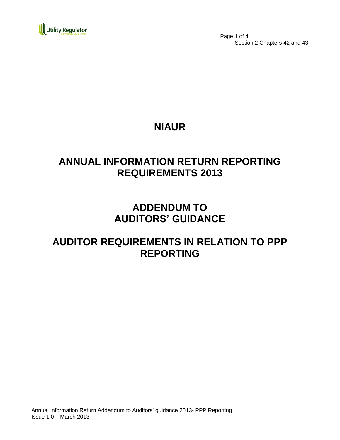

 Page 1 of 4 Section 2 Chapters 42 and 43

## **NIAUR**

## **ANNUAL INFORMATION RETURN REPORTING REQUIREMENTS 2013**

## **ADDENDUM TO AUDITORS' GUIDANCE**

## **AUDITOR REQUIREMENTS IN RELATION TO PPP REPORTING**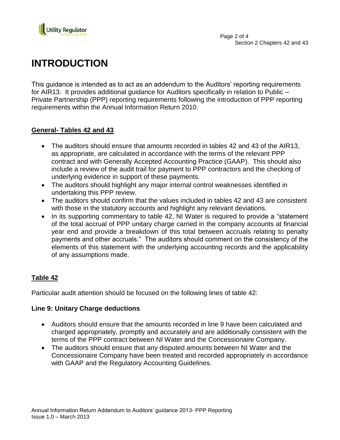

# **INTRODUCTION**

This guidance is intended as to act as an addendum to the Auditors' reporting requirements for AIR13. It provides additional guidance for Auditors specifically in relation to Public – Private Partnership (PPP) reporting requirements following the introduction of PPP reporting requirements within the Annual Information Return 2010.

### **General- Tables 42 and 43**

- The auditors should ensure that amounts recorded in tables 42 and 43 of the AIR13, as appropriate, are calculated in accordance with the terms of the relevant PPP contract and with Generally Accepted Accounting Practice (GAAP). This should also include a review of the audit trail for payment to PPP contractors and the checking of underlying evidence in support of these payments.
- The auditors should highlight any major internal control weaknesses identified in undertaking this PPP review.
- The auditors should confirm that the values included in tables 42 and 43 are consistent with those in the statutory accounts and highlight any relevant deviations.
- In its supporting commentary to table 42, NI Water is required to provide a "statement" of the total accrual of PPP unitary charge carried in the company accounts at financial year end and provide a breakdown of this total between accruals relating to penalty payments and other accruals." The auditors should comment on the consistency of the elements of this statement with the underlying accounting records and the applicability of any assumptions made.

### **Table 42**

Particular audit attention should be focused on the following lines of table 42:

### **Line 9: Unitary Charge deductions**

- Auditors should ensure that the amounts recorded in line 9 have been calculated and charged appropriately, promptly and accurately and are additionally consistent with the terms of the PPP contract between NI Water and the Concessionaire Company.
- The auditors should ensure that any disputed amounts between NI Water and the Concessionaire Company have been treated and recorded appropriately in accordance with GAAP and the Regulatory Accounting Guidelines.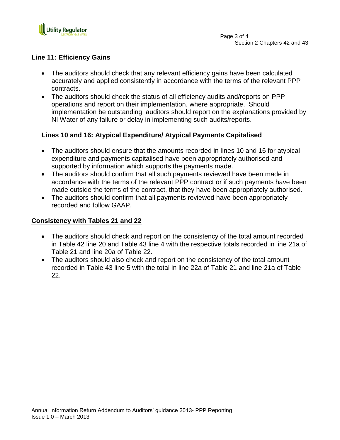

#### **Line 11: Efficiency Gains**

- The auditors should check that any relevant efficiency gains have been calculated accurately and applied consistently in accordance with the terms of the relevant PPP contracts.
- The auditors should check the status of all efficiency audits and/reports on PPP operations and report on their implementation, where appropriate. Should implementation be outstanding, auditors should report on the explanations provided by NI Water of any failure or delay in implementing such audits/reports.

### **Lines 10 and 16: Atypical Expenditure/ Atypical Payments Capitalised**

- The auditors should ensure that the amounts recorded in lines 10 and 16 for atypical expenditure and payments capitalised have been appropriately authorised and supported by information which supports the payments made.
- The auditors should confirm that all such payments reviewed have been made in accordance with the terms of the relevant PPP contract or if such payments have been made outside the terms of the contract, that they have been appropriately authorised.
- The auditors should confirm that all payments reviewed have been appropriately recorded and follow GAAP.

#### **Consistency with Tables 21 and 22**

- The auditors should check and report on the consistency of the total amount recorded in Table 42 line 20 and Table 43 line 4 with the respective totals recorded in line 21a of Table 21 and line 20a of Table 22.
- The auditors should also check and report on the consistency of the total amount recorded in Table 43 line 5 with the total in line 22a of Table 21 and line 21a of Table 22.